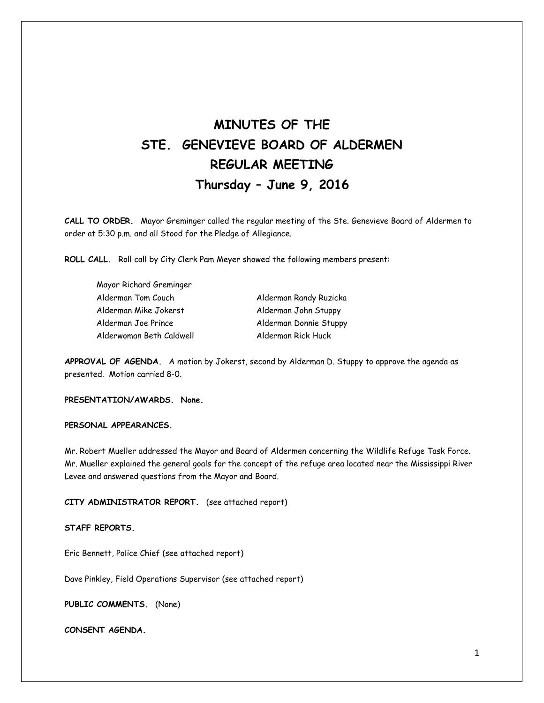# **MINUTES OF THE STE. GENEVIEVE BOARD OF ALDERMEN REGULAR MEETING Thursday – June 9, 2016**

**CALL TO ORDER.** Mayor Greminger called the regular meeting of the Ste. Genevieve Board of Aldermen to order at 5:30 p.m. and all Stood for the Pledge of Allegiance.

**ROLL CALL.** Roll call by City Clerk Pam Meyer showed the following members present:

| Mayor Richard Greminger  |                        |
|--------------------------|------------------------|
| Alderman Tom Couch       | Alderman Randy Ruzicka |
| Alderman Mike Jokerst    | Alderman John Stuppy   |
| Alderman Joe Prince      | Alderman Donnie Stuppy |
| Alderwoman Beth Caldwell | Alderman Rick Huck     |

**APPROVAL OF AGENDA.** A motion by Jokerst, second by Alderman D. Stuppy to approve the agenda as presented. Motion carried 8-0.

**PRESENTATION/AWARDS. None.** 

## **PERSONAL APPEARANCES.**

Mr. Robert Mueller addressed the Mayor and Board of Aldermen concerning the Wildlife Refuge Task Force. Mr. Mueller explained the general goals for the concept of the refuge area located near the Mississippi River Levee and answered questions from the Mayor and Board.

**CITY ADMINISTRATOR REPORT.** (see attached report)

### **STAFF REPORTS.**

Eric Bennett, Police Chief (see attached report)

Dave Pinkley, Field Operations Supervisor (see attached report)

**PUBLIC COMMENTS.** (None)

**CONSENT AGENDA.**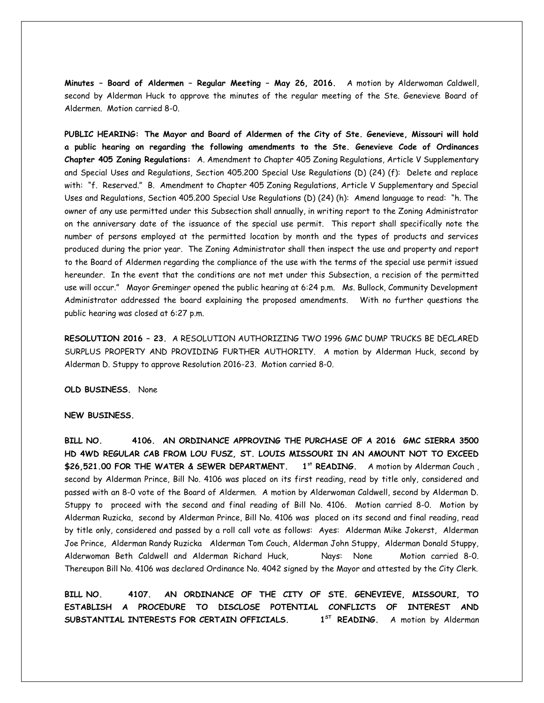**Minutes – Board of Aldermen – Regular Meeting – May 26, 2016.** A motion by Alderwoman Caldwell, second by Alderman Huck to approve the minutes of the regular meeting of the Ste. Genevieve Board of Aldermen. Motion carried 8-0.

**PUBLIC HEARING: The Mayor and Board of Aldermen of the City of Ste. Genevieve, Missouri will hold a public hearing on regarding the following amendments to the Ste. Genevieve Code of Ordinances Chapter 405 Zoning Regulations:** A. Amendment to Chapter 405 Zoning Regulations, Article V Supplementary and Special Uses and Regulations, Section 405.200 Special Use Regulations (D) (24) (f): Delete and replace with: "f. Reserved." B. Amendment to Chapter 405 Zoning Regulations, Article V Supplementary and Special Uses and Regulations, Section 405.200 Special Use Regulations (D) (24) (h): Amend language to read: "h. The owner of any use permitted under this Subsection shall annually, in writing report to the Zoning Administrator on the anniversary date of the issuance of the special use permit. This report shall specifically note the number of persons employed at the permitted location by month and the types of products and services produced during the prior year. The Zoning Administrator shall then inspect the use and property and report to the Board of Aldermen regarding the compliance of the use with the terms of the special use permit issued hereunder. In the event that the conditions are not met under this Subsection, a recision of the permitted use will occur." Mayor Greminger opened the public hearing at 6:24 p.m. Ms. Bullock, Community Development Administrator addressed the board explaining the proposed amendments. With no further questions the public hearing was closed at 6:27 p.m.

**RESOLUTION 2016 – 23.** A RESOLUTION AUTHORIZING TWO 1996 GMC DUMP TRUCKS BE DECLARED SURPLUS PROPERTY AND PROVIDING FURTHER AUTHORITY. A motion by Alderman Huck, second by Alderman D. Stuppy to approve Resolution 2016-23. Motion carried 8-0.

**OLD BUSINESS.** None

#### **NEW BUSINESS.**

**BILL NO. 4106. AN ORDINANCE APPROVING THE PURCHASE OF A 2016 GMC SIERRA 3500 HD 4WD REGULAR CAB FROM LOU FUSZ, ST. LOUIS MISSOURI IN AN AMOUNT NOT TO EXCEED \$26,521.00 FOR THE WATER & SEWER DEPARTMENT. 1st READING.** A motion by Alderman Couch , second by Alderman Prince, Bill No. 4106 was placed on its first reading, read by title only, considered and passed with an 8-0 vote of the Board of Aldermen. A motion by Alderwoman Caldwell, second by Alderman D. Stuppy to proceed with the second and final reading of Bill No. 4106. Motion carried 8-0. Motion by Alderman Ruzicka, second by Alderman Prince, Bill No. 4106 was placed on its second and final reading, read by title only, considered and passed by a roll call vote as follows: Ayes: Alderman Mike Jokerst, Alderman Joe Prince, Alderman Randy Ruzicka Alderman Tom Couch, Alderman John Stuppy, Alderman Donald Stuppy, Alderwoman Beth Caldwell and Alderman Richard Huck, Nays: None Motion carried 8-0. Thereupon Bill No. 4106 was declared Ordinance No. 4042 signed by the Mayor and attested by the City Clerk.

**BILL NO. 4107. AN ORDINANCE OF THE CITY OF STE. GENEVIEVE, MISSOURI, TO ESTABLISH A PROCEDURE TO DISCLOSE POTENTIAL CONFLICTS OF INTEREST AND SUBSTANTIAL INTERESTS FOR CERTAIN OFFICIALS. 1** A motion by Alderman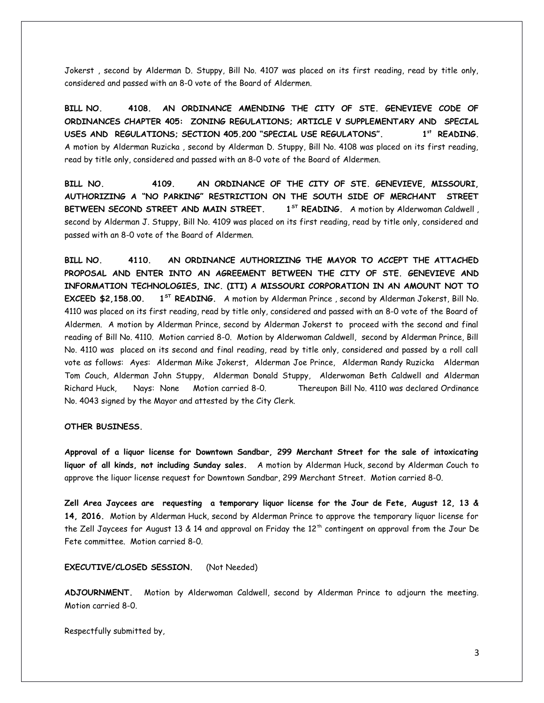Jokerst , second by Alderman D. Stuppy, Bill No. 4107 was placed on its first reading, read by title only, considered and passed with an 8-0 vote of the Board of Aldermen.

**BILL NO. 4108. AN ORDINANCE AMENDING THE CITY OF STE. GENEVIEVE CODE OF ORDINANCES CHAPTER 405: ZONING REGULATIONS; ARTICLE V SUPPLEMENTARY AND SPECIAL USES AND REGULATIONS; SECTION 405.200 "SPECIAL USE REGULATONS". 1st READING.** A motion by Alderman Ruzicka , second by Alderman D. Stuppy, Bill No. 4108 was placed on its first reading, read by title only, considered and passed with an 8-0 vote of the Board of Aldermen.

**BILL NO. 4109. AN ORDINANCE OF THE CITY OF STE. GENEVIEVE, MISSOURI, AUTHORIZING A "NO PARKING" RESTRICTION ON THE SOUTH SIDE OF MERCHANT STREET** BETWEEN SECOND STREET AND MAIN STREET. 1<sup>5T</sup> READING. A motion by Alderwoman Caldwell, second by Alderman J. Stuppy, Bill No. 4109 was placed on its first reading, read by title only, considered and passed with an 8-0 vote of the Board of Aldermen.

**BILL NO. 4110. AN ORDINANCE AUTHORIZING THE MAYOR TO ACCEPT THE ATTACHED PROPOSAL AND ENTER INTO AN AGREEMENT BETWEEN THE CITY OF STE. GENEVIEVE AND INFORMATION TECHNOLOGIES, INC. (ITI) A MISSOURI CORPORATION IN AN AMOUNT NOT TO EXCEED \$2,158.00. 1ST READING.** A motion by Alderman Prince , second by Alderman Jokerst, Bill No. 4110 was placed on its first reading, read by title only, considered and passed with an 8-0 vote of the Board of Aldermen. A motion by Alderman Prince, second by Alderman Jokerst to proceed with the second and final reading of Bill No. 4110. Motion carried 8-0. Motion by Alderwoman Caldwell, second by Alderman Prince, Bill No. 4110 was placed on its second and final reading, read by title only, considered and passed by a roll call vote as follows: Ayes: Alderman Mike Jokerst, Alderman Joe Prince, Alderman Randy Ruzicka Alderman Tom Couch, Alderman John Stuppy, Alderman Donald Stuppy, Alderwoman Beth Caldwell and Alderman Richard Huck, Nays: None Motion carried 8-0. Thereupon Bill No. 4110 was declared Ordinance No. 4043 signed by the Mayor and attested by the City Clerk.

#### **OTHER BUSINESS.**

**Approval of a liquor license for Downtown Sandbar, 299 Merchant Street for the sale of intoxicating liquor of all kinds, not including Sunday sales.** A motion by Alderman Huck, second by Alderman Couch to approve the liquor license request for Downtown Sandbar, 299 Merchant Street. Motion carried 8-0.

**Zell Area Jaycees are requesting a temporary liquor license for the Jour de Fete, August 12, 13 & 14, 2016.** Motion by Alderman Huck, second by Alderman Prince to approve the temporary liquor license for the Zell Jaycees for August 13 & 14 and approval on Friday the 12<sup>th</sup> contingent on approval from the Jour De Fete committee. Motion carried 8-0.

**EXECUTIVE/CLOSED SESSION.** (Not Needed)

**ADJOURNMENT.** Motion by Alderwoman Caldwell, second by Alderman Prince to adjourn the meeting. Motion carried 8-0.

Respectfully submitted by,